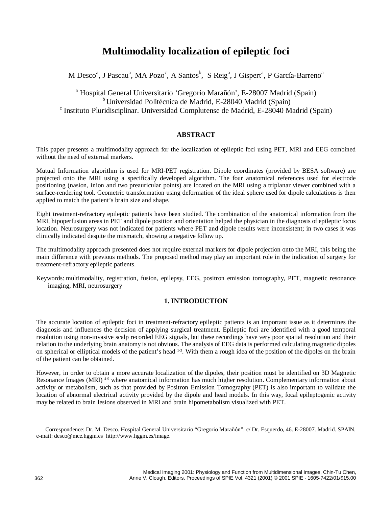# **Multimodality localization of epileptic foci**

M Desco<sup>a</sup>, J Pascau<sup>a</sup>, MA Pozo<sup>c</sup>, A Santos<sup>b</sup>, S Reig<sup>a</sup>, J Gispert<sup>a</sup>, P García-Barreno<sup>a</sup>

<sup>a</sup> Hospital General Universitario 'Gregorio Marañón', E-28007 Madrid (Spain)<br><sup>b</sup> Universidad Politécnica de Madrid, E-28040 Madrid (Spain)  $\textdegree$  Instituto Pluridisciplinar. Universidad Complutense de Madrid, E-28040 Madrid (Spain)

# **ABSTRACT**

This paper presents a multimodality approach for the localization of epileptic foci using PET, MRI and EEG combined without the need of external markers.

Mutual Information algorithm is used for MRI-PET registration. Dipole coordinates (provided by BESA software) are projected onto the MRI using a specifically developed algorithm. The four anatomical references used for electrode positioning (nasion, inion and two preauricular points) are located on the MRI using a triplanar viewer combined with a surface-rendering tool. Geometric transformation using deformation of the ideal sphere used for dipole calculations is then applied to match the patient's brain size and shape.

Eight treatment-refractory epileptic patients have been studied. The combination of the anatomical information from the MRI, hipoperfusion areas in PET and dipole position and orientation helped the physician in the diagnosis of epileptic focus location. Neurosurgery was not indicated for patients where PET and dipole results were inconsistent; in two cases it was clinically indicated despite the mismatch, showing a negative follow up.

The multimodality approach presented does not require external markers for dipole projection onto the MRI, this being the main difference with previous methods. The proposed method may play an important role in the indication of surgery for treatment-refractory epileptic patients.

Keywords: multimodality, registration, fusion, epilepsy, EEG, positron emission tomography, PET, magnetic resonance imaging, MRI, neurosurgery

## **1. INTRODUCTION**

The accurate location of epileptic foci in treatment-refractory epileptic patients is an important issue as it determines the diagnosis and influences the decision of applying surgical treatment. Epileptic foci are identified with a good temporal resolution using non-invasive scalp recorded EEG signals, but these recordings have very poor spatial resolution and their relation to the underlying brain anatomy is not obvious. The analysis of EEG data is performed calculating magnetic dipoles on spherical or elliptical models of the patient's head 1-3. With them a rough idea of the position of the dipoles on the brain of the patient can be obtained.

However, in order to obtain a more accurate localization of the dipoles, their position must be identified on 3D Magnetic Resonance Images (MRI)<sup>49</sup> where anatomical information has much higher resolution. Complementary information about activity or metabolism, such as that provided by Positron Emission Tomography (PET) is also important to validate the location of abnormal electrical activity provided by the dipole and head models. In this way, focal epileptogenic activity may be related to brain lesions observed in MRI and brain hipometabolism visualized with PET.

Correspondence: Dr. M. Desco. Hospital General Universitario "Gregorio Marañón". c/ Dr. Esquerdo, 46. E-28007. Madrid. SPAIN. e-mail: desco@mce.hggm.es http://www.hggm.es/image.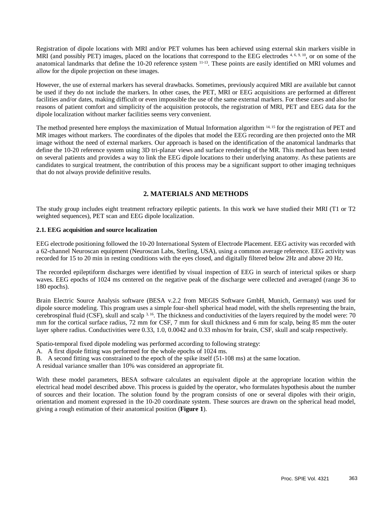Registration of dipole locations with MRI and/or PET volumes has been achieved using external skin markers visible in MRI (and possibly PET) images, placed on the locations that correspond to the EEG electrodes 4, 6, 9, 10, or on some of the anatomical landmarks that define the 10-20 reference system 11-13. These points are easily identified on MRI volumes and allow for the dipole projection on these images.

However, the use of external markers has several drawbacks. Sometimes, previously acquired MRI are available but cannot be used if they do not include the markers. In other cases, the PET, MRI or EEG acquisitions are performed at different facilities and/or dates, making difficult or even impossible the use of the same external markers. For these cases and also for reasons of patient comfort and simplicity of the acquisition protocols, the registration of MRI, PET and EEG data for the dipole localization without marker facilities seems very convenient.

The method presented here employs the maximization of Mutual Information algorithm <sup>14, 15</sup> for the registration of PET and MR images without markers. The coordinates of the dipoles that model the EEG recording are then projected onto the MR image without the need of external markers. Our approach is based on the identification of the anatomical landmarks that define the 10-20 reference system using 3D tri-planar views and surface rendering of the MR. This method has been tested on several patients and provides a way to link the EEG dipole locations to their underlying anatomy. As these patients are candidates to surgical treatment, the contribution of this process may be a significant support to other imaging techniques that do not always provide definitive results.

# **2. MATERIALS AND METHODS**

The study group includes eight treatment refractory epileptic patients. In this work we have studied their MRI (T1 or T2 weighted sequences), PET scan and EEG dipole localization.

#### **2.1. EEG acquisition and source localization**

EEG electrode positioning followed the 10-20 International System of Electrode Placement. EEG activity was recorded with a 62-channel Neuroscan equipment (Neuroscan Labs, Sterling, USA), using a common average reference. EEG activity was recorded for 15 to 20 min in resting conditions with the eyes closed, and digitally filtered below 2Hz and above 20 Hz.

The recorded epileptiform discharges were identified by visual inspection of EEG in search of interictal spikes or sharp waves. EEG epochs of 1024 ms centered on the negative peak of the discharge were collected and averaged (range 36 to 180 epochs).

Brain Electric Source Analysis software (BESA v.2.2 from MEGIS Software GmbH, Munich, Germany) was used for dipole source modeling. This program uses a simple four-shell spherical head model, with the shells representing the brain, cerebrospinal fluid (CSF), skull and scalp 3, 16. The thickness and conductivities of the layers required by the model were: 70 mm for the cortical surface radius, 72 mm for CSF, 7 mm for skull thickness and 6 mm for scalp, being 85 mm the outer layer sphere radius. Conductivities were 0.33, 1.0, 0.0042 and 0.33 mhos/m for brain, CSF, skull and scalp respectively.

Spatio-temporal fixed dipole modeling was performed according to following strategy:

- A. A first dipole fitting was performed for the whole epochs of 1024 ms.
- B. A second fitting was constrained to the epoch of the spike itself (51-108 ms) at the same location.

A residual variance smaller than 10% was considered an appropriate fit.

With these model parameters, BESA software calculates an equivalent dipole at the appropriate location within the electrical head model described above. This process is guided by the operator, who formulates hypothesis about the number of sources and their location. The solution found by the program consists of one or several dipoles with their origin, orientation and moment expressed in the 10-20 coordinate system. These sources are drawn on the spherical head model, giving a rough estimation of their anatomical position (**Figure 1**).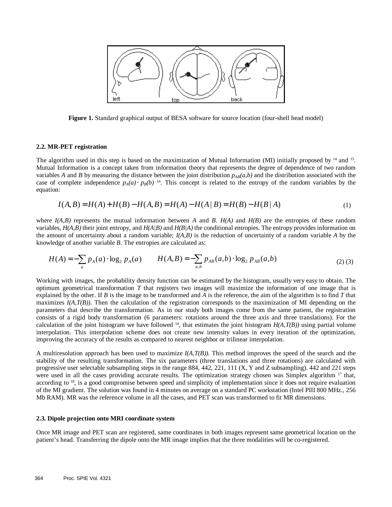

**Figure 1.** Standard graphical output of BESA software for source location (four-shell head model)

#### **2.2. MR-PET registration**

The algorithm used in this step is based on the maximization of Mutual Information (MI) initially proposed by  $14$  and  $15$ . Mutual Information is a concept taken from information theory that represents the degree of dependence of two random variables *A* and *B* by measuring the distance between the joint distribution  $p_{AB}(a,b)$  and the distribution associated with the case of complete independence  $p_A(a) \cdot p_B(b)$  <sup>14</sup>. This concept is related to the entropy of the random variables by the equation:<br> $L(A, B) = L(A) + L(B) = L(A, B) = L(A \mid B) = L(B) + L(B) + L(B) = L(A)$ equation:

$$
I(A, B) = H(A) + H(B) - H(A, B) = H(A) - H(A | B) = H(B) - H(B | A)
$$
\n<sup>(1)</sup>

where  $I(A,B)$  represents the mutual information between *A* and *B*.  $H(A)$  and  $H(B)$  are the entropies of these random variables, *H(A,B)* their joint entropy, and *H(A|B)* and *H(B|A)* the conditional entropies. The entropy provides information on the amount of uncertainty about a random variable;  $I(A, B)$  is the reduction of uncertainty of a random variable  $A$  by the knowledge of another variable *B*. The entropies are calculated as:

$$
H(A) = -\sum_{a} p_{A}(a) \cdot \log_2 p_{A}(a) \qquad H(A,B) = -\sum_{a,b} p_{AB}(a,b) \cdot \log_2 p_{AB}(a,b) \tag{2}
$$

Working with images, the probability density function can be estimated by the histogram, usually very easy to obtain. The optimum geometrical transformation *T* that registers two images will maximize the information of one image that is explained by the other. If *B* is the image to be transformed and *A* is the reference, the aim of the algorithm is to find *T* that maximizes *I(A,T(B))*. Then the calculation of the registration corresponds to the maximization of MI depending on the parameters that describe the transformation. As in our study both images come from the same patient, the registration consists of a rigid body transformation (6 parameters: rotations around the three axis and three translations). For the calculation of the joint histogram we have followed  $14$ , that estimates the joint histogram  $H(A,T(B))$  using partial volume interpolation. This interpolation scheme does not create new intensity values in every iteration of the optimization, improving the accuracy of the results as compared to nearest neighbor or trilinear interpolation.

A multiresolution approach has been used to maximize *I(A,T(B))*. This method improves the speed of the search and the stability of the resulting transformation. The six parameters (three translations and three rotations) are calculated with progressive user selectable subsampling steps in the range 884, 442, 221, 111 (X, Y and Z subsampling). 442 and 221 steps were used in all the cases providing accurate results. The optimization strategy chosen was Simplex algorithm <sup>17</sup> that, according to 18, is a good compromise between speed and simplicity of implementation since it does not require evaluation of the MI gradient. The solution was found in 4 minutes on average on a standard PC workstation (Intel PIII 800 MHz., 256 Mb RAM). MR was the reference volume in all the cases, and PET scan was transformed to fit MR dimensions.

#### **2.3. Dipole projection onto MRI coordinate system**

Once MR image and PET scan are registered, same coordinates in both images represent same geometrical location on the patient's head. Transferring the dipole onto the MR image implies that the three modalities will be co-registered.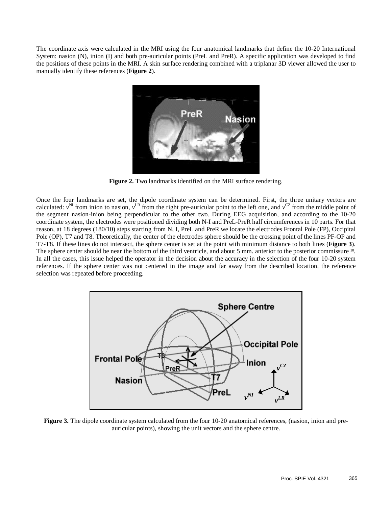The coordinate axis were calculated in the MRI using the four anatomical landmarks that define the 10-20 International System: nasion (N), inion (I) and both pre-auricular points (PreL and PreR). A specific application was developed to find the positions of these points in the MRI. A skin surface rendering combined with a triplanar 3D viewer allowed the user to manually identify these references (**Figure 2**).



**Figure 2.** Two landmarks identified on the MRI surface rendering.

Once the four landmarks are set, the dipole coordinate system can be determined. First, the three unitary vectors are calculated:  $v^N$  from inion to nasion,  $v^{LR}$  from the right pre-auricular point to the left one, and  $v^{CZ}$  from the middle point of the segment nasion-inion being perpendicular to the other two. During EEG acquisition, and according to the 10-20 coordinate system, the electrodes were positioned dividing both N-I and PreL-PreR half circumferences in 10 parts. For that reason, at 18 degrees (180/10) steps starting from N, I, PreL and PreR we locate the electrodes Frontal Pole (FP), Occipital Pole (OP), T7 and T8. Theoretically, the center of the electrodes sphere should be the crossing point of the lines PF-OP and T7-T8. If these lines do not intersect, the sphere center is set at the point with minimum distance to both lines (**Figure 3**). The sphere center should be near the bottom of the third ventricle, and about 5 mm. anterior to the posterior commissure <sup>10</sup>. In all the cases, this issue helped the operator in the decision about the accuracy in the selection of the four 10-20 system references. If the sphere center was not centered in the image and far away from the described location, the reference selection was repeated before proceeding.



**Figure 3.** The dipole coordinate system calculated from the four 10-20 anatomical references, (nasion, inion and preauricular points), showing the unit vectors and the sphere centre.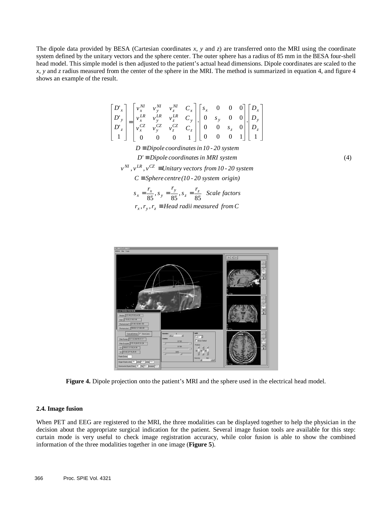The dipole data provided by BESA (Cartesian coordinates *x*, *y* and *z*) are transferred onto the MRI using the coordinate system defined by the unitary vectors and the sphere center. The outer sphere has a radius of 85 mm in the BESA four-shell head model. This simple model is then adjusted to the patient's actual head dimensions. Dipole coordinates are scaled to the *x*, *y* and *z* radius measured from the center of the sphere in the MRI. The method is summarized in equation 4, and figure 4 shows an example of the result.

$$
\begin{bmatrix} D'_{x} \\ D'_{y} \\ D'_{z} \\ 1 \end{bmatrix} = \begin{bmatrix} v_{x}^{M} & v_{y}^{M} & v_{z}^{M} & C_{x} \\ v_{x}^{LR} & v_{y}^{LR} & v_{z}^{LR} & C_{y} \\ v_{x}^{CZ} & v_{y}^{CZ} & v_{z}^{CZ} & C_{z} \\ 0 & 0 & 0 & 1 \end{bmatrix} \begin{bmatrix} s_{x} & 0 & 0 & 0 \\ 0 & s_{y} & 0 & 0 \\ 0 & 0 & s_{z} & 0 \\ 0 & 0 & 0 & 1 \end{bmatrix} \begin{bmatrix} D_{x} \\ D_{y} \\ D_{z} \\ 1 \end{bmatrix}
$$

*D' Dipole coordinatesin MRI system* ≡ *D Dipole coordinatesin 10 - 20 system* ≡

(4)

 $v^{NI}$ ,  $v^{LR}$ ,  $v^{CZ}$   $\equiv$  *Unitary vectors from 10* - 20 *system* 

 $C \equiv$  *Sphere centre*(10 *-* 20 *system origin*)

 $r_x, r_y, r_z \equiv Head$  *radii measured from C*  $s_x = \frac{r_x}{85}$ ,  $s_y = \frac{r_y}{85}$ ,  $s_z = \frac{r_z}{85}$  *Scale factors* 



**Figure 4.** Dipole projection onto the patient's MRI and the sphere used in the electrical head model.

## **2.4. Image fusion**

When PET and EEG are registered to the MRI, the three modalities can be displayed together to help the physician in the decision about the appropriate surgical indication for the patient. Several image fusion tools are available for this step: curtain mode is very useful to check image registration accuracy, while color fusion is able to show the combined information of the three modalities together in one image (**Figure 5**).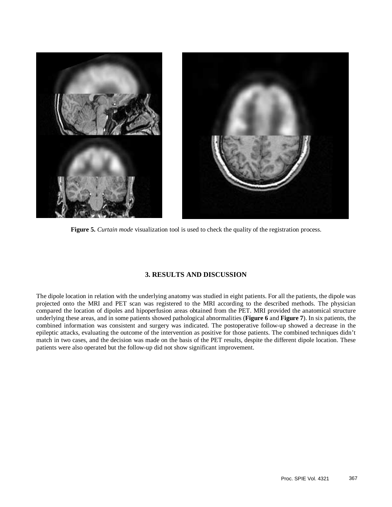

**Figure 5.** *Curtain mode* visualization tool is used to check the quality of the registration process.

# **3. RESULTS AND DISCUSSION**

The dipole location in relation with the underlying anatomy was studied in eight patients. For all the patients, the dipole was projected onto the MRI and PET scan was registered to the MRI according to the described methods. The physician compared the location of dipoles and hipoperfusion areas obtained from the PET. MRI provided the anatomical structure underlying these areas, and in some patients showed pathological abnormalities (**Figure 6** and **Figure 7**). In six patients, the combined information was consistent and surgery was indicated. The postoperative follow-up showed a decrease in the epileptic attacks, evaluating the outcome of the intervention as positive for those patients. The combined techniques didn't match in two cases, and the decision was made on the basis of the PET results, despite the different dipole location. These patients were also operated but the follow-up did not show significant improvement.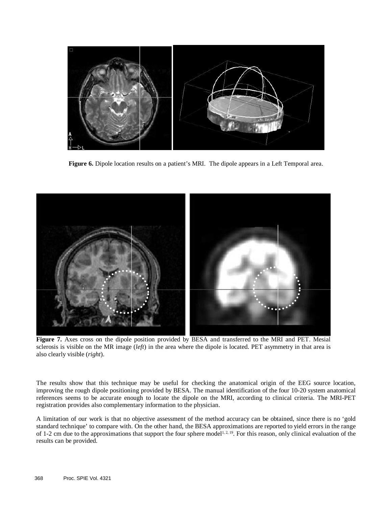

**Figure 6.** Dipole location results on a patient's MRI. The dipole appears in a Left Temporal area.



**Figure 7.** Axes cross on the dipole position provided by BESA and transferred to the MRI and PET. Mesial sclerosis is visible on the MR image (*left*) in the area where the dipole is located. PET asymmetry in that area is also clearly visible (*right*).

The results show that this technique may be useful for checking the anatomical origin of the EEG source location, improving the rough dipole positioning provided by BESA. The manual identification of the four 10-20 system anatomical references seems to be accurate enough to locate the dipole on the MRI, according to clinical criteria. The MRI-PET registration provides also complementary information to the physician.

A limitation of our work is that no objective assessment of the method accuracy can be obtained, since there is no 'gold standard technique' to compare with. On the other hand, the BESA approximations are reported to yield errors in the range of 1-2 cm due to the approximations that support the four sphere model<sup>1, 2, 19</sup>. For this reason, only clinical evaluation of the results can be provided.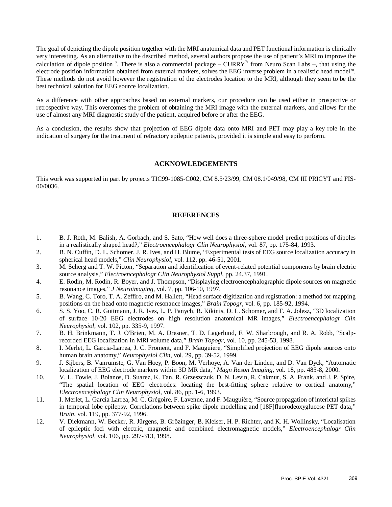The goal of depicting the dipole position together with the MRI anatomical data and PET functional information is clinically very interesting. As an alternative to the described method, several authors propose the use of patient's MRI to improve the calculation of dipole position <sup>7</sup>. There is also a commercial package – CURRY<sup>®</sup> from Neuro Scan Labs –, that using the electrode position information obtained from external markers, solves the EEG inverse problem in a realistic head model20. These methods do not avoid however the registration of the electrodes location to the MRI, although they seem to be the best technical solution for EEG source localization.

As a difference with other approaches based on external markers, our procedure can be used either in prospective or retrospective way. This overcomes the problem of obtaining the MRI image with the external markers, and allows for the use of almost any MRI diagnostic study of the patient, acquired before or after the EEG.

As a conclusion, the results show that projection of EEG dipole data onto MRI and PET may play a key role in the indication of surgery for the treatment of refractory epileptic patients, provided it is simple and easy to perform.

### **ACKNOWLEDGEMENTS**

This work was supported in part by projects TIC99-1085-C002, CM 8.5/23/99, CM 08.1/049/98, CM III PRICYT and FIS-00/0036.

## **REFERENCES**

- 1. B. J. Roth, M. Balish, A. Gorbach, and S. Sato, "How well does a three-sphere model predict positions of dipoles in a realistically shaped head?," *Electroencephalogr Clin Neurophysiol*, vol. 87, pp. 175-84, 1993.
- 2. B. N. Cuffin, D. L. Schomer, J. R. Ives, and H. Blume, "Experimental tests of EEG source localization accuracy in spherical head models," *Clin Neurophysiol*, vol. 112, pp. 46-51, 2001.
- 3. M. Scherg and T. W. Picton, "Separation and identification of event-related potential components by brain electric source analysis," *Electroencephalogr Clin Neurophysiol Suppl*, pp. 24.37, 1991.
- 4. E. Rodin, M. Rodin, R. Boyer, and J. Thompson, "Displaying electroencephalographic dipole sources on magnetic resonance images," *J Neuroimaging*, vol. 7, pp. 106-10, 1997.
- 5. B. Wang, C. Toro, T. A. Zeffiro, and M. Hallett, "Head surface digitization and registration: a method for mapping positions on the head onto magnetic resonance images," *Brain Topogr*, vol. 6, pp. 185-92, 1994.
- 6. S. S. Yoo, C. R. Guttmann, J. R. Ives, L. P. Panych, R. Kikinis, D. L. Schomer, and F. A. Jolesz, "3D localization of surface 10-20 EEG electrodes on high resolution anatomical MR images," *Electroencephalogr Clin Neurophysiol*, vol. 102, pp. 335-9, 1997.
- 7. B. H. Brinkmann, T. J. O'Brien, M. A. Dresner, T. D. Lagerlund, F. W. Sharbrough, and R. A. Robb, "Scalprecorded EEG localization in MRI volume data," *Brain Topogr*, vol. 10, pp. 245-53, 1998.
- 8. I. Merlet, L. Garcia-Larrea, J. C. Froment, and F. Mauguiere, "Simplified projection of EEG dipole sources onto human brain anatomy," *Neurophysiol Clin*, vol. 29, pp. 39-52, 1999.
- 9. J. Sijbers, B. Vanrumste, G. Van Hoey, P. Boon, M. Verhoye, A. Van der Linden, and D. Van Dyck, "Automatic localization of EEG electrode markers within 3D MR data," *Magn Reson Imaging*, vol. 18, pp. 485-8, 2000.
- 10. V. L. Towle, J. Bolanos, D. Suarez, K. Tan, R. Grzeszczuk, D. N. Levin, R. Cakmur, S. A. Frank, and J. P. Spire, "The spatial location of EEG electrodes: locating the best-fitting sphere relative to cortical anatomy," *Electroencephalogr Clin Neurophysiol*, vol. 86, pp. 1-6, 1993.
- 11. I. Merlet, L. Garcia Larrea, M. C. Grégoire, F. Lavenne, and F. Mauguière, "Source propagation of interictal spikes in temporal lobe epilepsy. Correlations between spike dipole modelling and [18F]fluorodeoxyglucose PET data," *Brain*, vol. 119, pp. 377-92, 1996.
- 12. V. Diekmann, W. Becker, R. Jürgens, B. Grözinger, B. Kleiser, H. P. Richter, and K. H. Wollinsky, "Localisation of epileptic foci with electric, magnetic and combined electromagnetic models," *Electroencephalogr Clin Neurophysiol*, vol. 106, pp. 297-313, 1998.